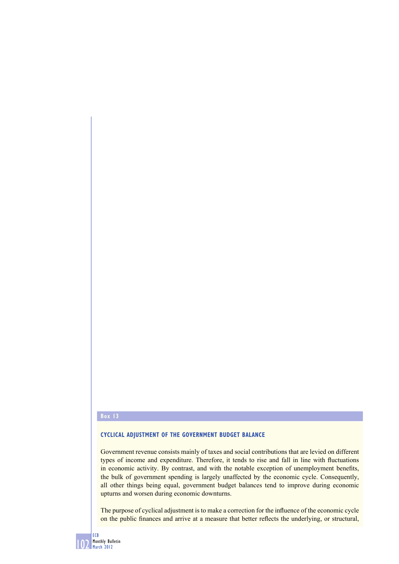#### **Box 13**

### **CYCLICAL ADJUSTMENT OF THE GOVERNMENT BUDGET BALANCE**

Government revenue consists mainly of taxes and social contributions that are levied on different types of income and expenditure. Therefore, it tends to rise and fall in line with fluctuations in economic activity. By contrast, and with the notable exception of unemployment benefits, the bulk of government spending is largely unaffected by the economic cycle. Consequently, all other things being equal, government budget balances tend to improve during economic upturns and worsen during economic downturns.

The purpose of cyclical adjustment is to make a correction for the influence of the economic cycle on the public finances and arrive at a measure that better reflects the underlying, or structural,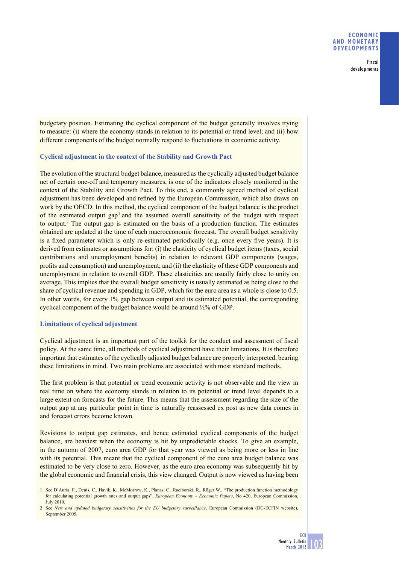#### **ECONOMIC AND MONETARY DEVELOPMENTS**

Fiscal developments

budgetary position. Estimating the cyclical component of the budget generally involves trying to measure: (i) where the economy stands in relation to its potential or trend level; and (ii) how different components of the budget normally respond to fluctuations in economic activity.

#### **Cyclical adjustment in the context of the Stability and Growth Pact**

The evolution of the structural budget balance, measured as the cyclically adjusted budget balance net of certain one-off and temporary measures, is one of the indicators closely monitored in the context of the Stability and Growth Pact. To this end, a commonly agreed method of cyclical adjustment has been developed and refined by the European Commission, which also draws on work by the OECD. In this method, the cyclical component of the budget balance is the product of the estimated output gap<sup>1</sup> and the assumed overall sensitivity of the budget with respect to output.2 The output gap is estimated on the basis of a production function. The estimates obtained are updated at the time of each macroeconomic forecast. The overall budget sensitivity is a fixed parameter which is only re-estimated periodically (e.g. once every five years). It is derived from estimates or assumptions for: (i) the elasticity of cyclical budget items (taxes, social contributions and unemployment benefits) in relation to relevant GDP components (wages, profits and consumption) and unemployment; and (ii) the elasticity of these GDP components and unemployment in relation to overall GDP. These elasticities are usually fairly close to unity on average. This implies that the overall budget sensitivity is usually estimated as being close to the share of cyclical revenue and spending in GDP, which for the euro area as a whole is close to 0.5. In other words, for every 1% gap between output and its estimated potential, the corresponding cyclical component of the budget balance would be around ½% of GDP.

## **Limitations of cyclical adjustment**

Cyclical adjustment is an important part of the toolkit for the conduct and assessment of fiscal policy. At the same time, all methods of cyclical adjustment have their limitations. It is therefore important that estimates of the cyclically adjusted budget balance are properly interpreted, bearing these limitations in mind. Two main problems are associated with most standard methods.

The first problem is that potential or trend economic activity is not observable and the view in real time on where the economy stands in relation to its potential or trend level depends to a large extent on forecasts for the future. This means that the assessment regarding the size of the output gap at any particular point in time is naturally reassessed ex post as new data comes in and forecast errors become known.

Revisions to output gap estimates, and hence estimated cyclical components of the budget balance, are heaviest when the economy is hit by unpredictable shocks. To give an example, in the autumn of 2007, euro area GDP for that year was viewed as being more or less in line with its potential. This meant that the cyclical component of the euro area budget balance was estimated to be very close to zero. However, as the euro area economy was subsequently hit by the global economic and financial crisis, this view changed. Output is now viewed as having been

<sup>1</sup> See D'Auria, F., Denis, C., Havik, K., McMorrow, K., Planas, C., Raciborski, R., Röger W., "The production function methodology for calculating potential growth rates and output gaps", *European Economy – Economic Papers*, No 420, European Commission, July 2010.

<sup>2</sup> See *New and updated budgetary sensitivities for the EU budgetary surveillance*, European Commission (DG-ECFIN website), September 2005.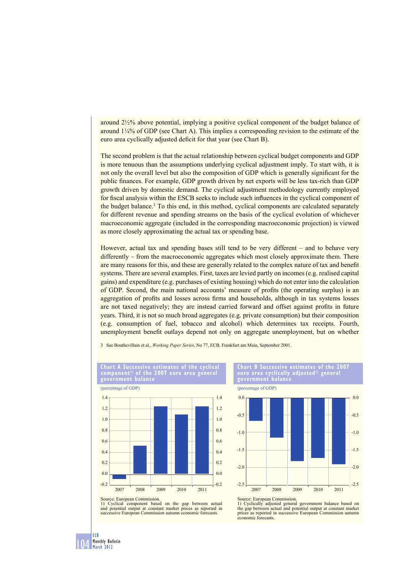around 2½% above potential, implying a positive cyclical component of the budget balance of around  $1/4\%$  of GDP (see Chart A). This implies a corresponding revision to the estimate of the euro area cyclically adjusted deficit for that year (see Chart B).

The second problem is that the actual relationship between cyclical budget components and GDP is more tenuous than the assumptions underlying cyclical adjustment imply. To start with, it is not only the overall level but also the composition of GDP which is generally significant for the public finances. For example, GDP growth driven by net exports will be less tax-rich than GDP growth driven by domestic demand. The cyclical adjustment methodology currently employed for fiscal analysis within the ESCB seeks to include such influences in the cyclical component of the budget balance.<sup>3</sup> To this end, in this method, cyclical components are calculated separately for different revenue and spending streams on the basis of the cyclical evolution of whichever macroeconomic aggregate (included in the corresponding macroeconomic projection) is viewed as more closely approximating the actual tax or spending base.

However, actual tax and spending bases still tend to be very different – and to behave very differently – from the macroeconomic aggregates which most closely approximate them. There are many reasons for this, and these are generally related to the complex nature of tax and benefit systems. There are several examples. First, taxes are levied partly on incomes (e.g. realised capital gains) and expenditure (e.g. purchases of existing housing) which do not enter into the calculation of GDP. Second, the main national accounts' measure of profits (the operating surplus) is an aggregation of profits and losses across firms and households, although in tax systems losses are not taxed negatively; they are instead carried forward and offset against profits in future years. Third, it is not so much broad aggregates (e.g. private consumption) but their composition (e.g. consumption of fuel, tobacco and alcohol) which determines tax receipts. Fourth, unemployment benefit outlays depend not only on aggregate unemployment, but on whether

3 See Bouthevillain et al., *Working Paper Series*, No 77, ECB, Frankfurt am Main, September 2001.





104

ECB Monthly Bulletin March 2012

Source: European Commission. 1) Cyclical component based on the gap between actual and potential output at constant market prices as reported in successive European Commission autumn economic forecasts.

**Chart B Successive estimates of the 2007 euro area cyclically adjusted1) general government balance**



Source: European Commission. 1) Cyclically adjusted general government balance based on the gap between actual and potential output at constant market prices as reported in successive European Commission autumn economic forecasts.